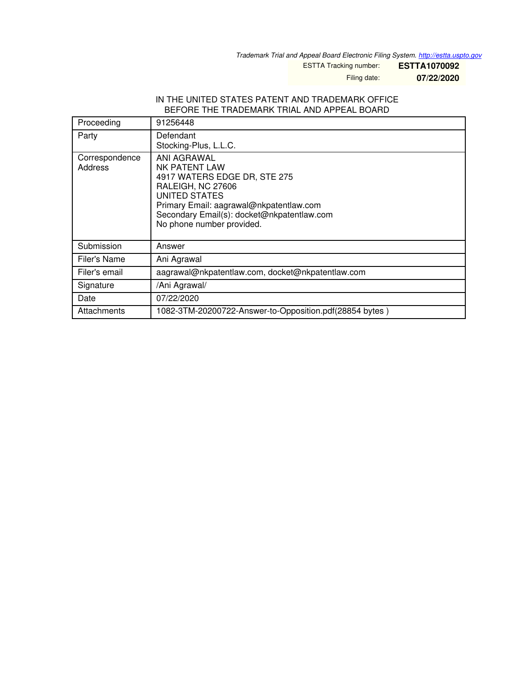*Trademark Trial and Appeal Board Electronic Filing System. <http://estta.uspto.gov>*

ESTTA Tracking number: **ESTTA1070092**

Filing date: **07/22/2020**

#### IN THE UNITED STATES PATENT AND TRADEMARK OFFICE BEFORE THE TRADEMARK TRIAL AND APPEAL BOARD

| Proceeding                | 91256448                                                                                                                                                                                                                        |  |  |
|---------------------------|---------------------------------------------------------------------------------------------------------------------------------------------------------------------------------------------------------------------------------|--|--|
| Party                     | Defendant<br>Stocking-Plus, L.L.C.                                                                                                                                                                                              |  |  |
| Correspondence<br>Address | ANI AGRAWAL<br><b>NK PATENT LAW</b><br>4917 WATERS EDGE DR, STE 275<br>RALEIGH, NC 27606<br>UNITED STATES<br>Primary Email: aagrawal@nkpatentlaw.com<br>Secondary Email(s): docket@nkpatentlaw.com<br>No phone number provided. |  |  |
| Submission                | Answer                                                                                                                                                                                                                          |  |  |
| Filer's Name              | Ani Agrawal                                                                                                                                                                                                                     |  |  |
| Filer's email             | aagrawal@nkpatentlaw.com, docket@nkpatentlaw.com                                                                                                                                                                                |  |  |
| Signature                 | /Ani Agrawal/                                                                                                                                                                                                                   |  |  |
| Date                      | 07/22/2020                                                                                                                                                                                                                      |  |  |
| Attachments               | 1082-3TM-20200722-Answer-to-Opposition.pdf(28854 bytes)                                                                                                                                                                         |  |  |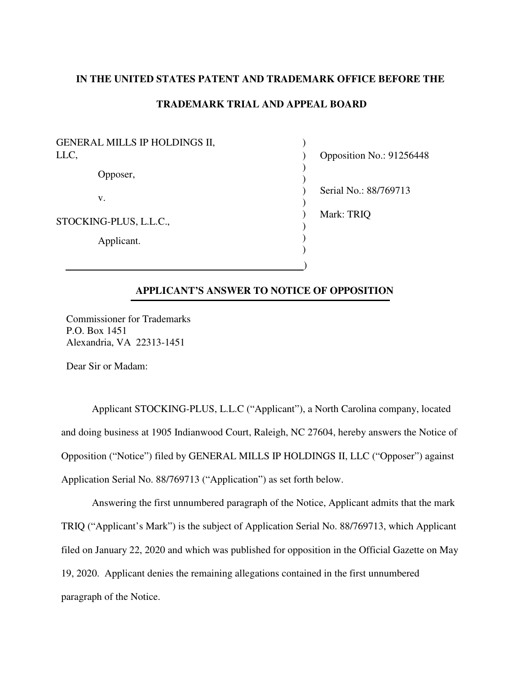## **IN THE UNITED STATES PATENT AND TRADEMARK OFFICE BEFORE THE**

# **TRADEMARK TRIAL AND APPEAL BOARD**

| <b>GENERAL MILLS IP HOLDINGS II,</b> |            |                          |
|--------------------------------------|------------|--------------------------|
| LLC,                                 |            | Opposition No.: 91256448 |
|                                      | Opposer,   |                          |
|                                      | V.         | Serial No.: 88/769713    |
| STOCKING-PLUS, L.L.C.,               |            | Mark: TRIQ               |
|                                      | Applicant. |                          |
|                                      |            |                          |

## **APPLICANT'S ANSWER TO NOTICE OF OPPOSITION**

Commissioner for Trademarks P.O. Box 1451 Alexandria, VA 22313-1451

Dear Sir or Madam:

 Applicant STOCKING-PLUS, L.L.C ("Applicant"), a North Carolina company, located and doing business at 1905 Indianwood Court, Raleigh, NC 27604, hereby answers the Notice of Opposition ("Notice") filed by GENERAL MILLS IP HOLDINGS II, LLC ("Opposer") against Application Serial No. 88/769713 ("Application") as set forth below.

 Answering the first unnumbered paragraph of the Notice, Applicant admits that the mark TRIQ ("Applicant's Mark") is the subject of Application Serial No. 88/769713, which Applicant filed on January 22, 2020 and which was published for opposition in the Official Gazette on May 19, 2020. Applicant denies the remaining allegations contained in the first unnumbered paragraph of the Notice.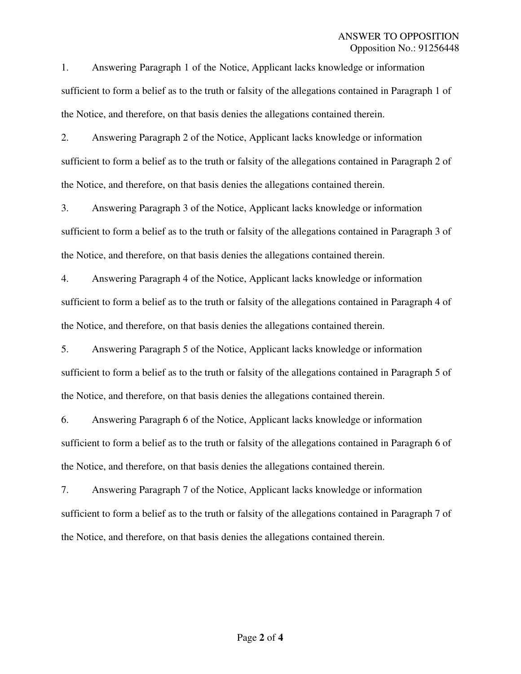1. Answering Paragraph 1 of the Notice, Applicant lacks knowledge or information sufficient to form a belief as to the truth or falsity of the allegations contained in Paragraph 1 of the Notice, and therefore, on that basis denies the allegations contained therein.

2. Answering Paragraph 2 of the Notice, Applicant lacks knowledge or information sufficient to form a belief as to the truth or falsity of the allegations contained in Paragraph 2 of the Notice, and therefore, on that basis denies the allegations contained therein.

3. Answering Paragraph 3 of the Notice, Applicant lacks knowledge or information sufficient to form a belief as to the truth or falsity of the allegations contained in Paragraph 3 of the Notice, and therefore, on that basis denies the allegations contained therein.

4. Answering Paragraph 4 of the Notice, Applicant lacks knowledge or information sufficient to form a belief as to the truth or falsity of the allegations contained in Paragraph 4 of the Notice, and therefore, on that basis denies the allegations contained therein.

5. Answering Paragraph 5 of the Notice, Applicant lacks knowledge or information sufficient to form a belief as to the truth or falsity of the allegations contained in Paragraph 5 of the Notice, and therefore, on that basis denies the allegations contained therein.

6. Answering Paragraph 6 of the Notice, Applicant lacks knowledge or information sufficient to form a belief as to the truth or falsity of the allegations contained in Paragraph 6 of the Notice, and therefore, on that basis denies the allegations contained therein.

7. Answering Paragraph 7 of the Notice, Applicant lacks knowledge or information sufficient to form a belief as to the truth or falsity of the allegations contained in Paragraph 7 of the Notice, and therefore, on that basis denies the allegations contained therein.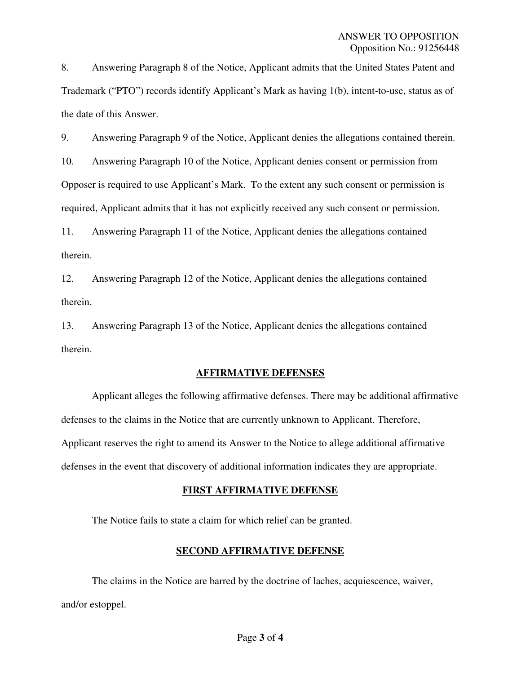8. Answering Paragraph 8 of the Notice, Applicant admits that the United States Patent and Trademark ("PTO") records identify Applicant's Mark as having 1(b), intent-to-use, status as of the date of this Answer.

9. Answering Paragraph 9 of the Notice, Applicant denies the allegations contained therein.

10. Answering Paragraph 10 of the Notice, Applicant denies consent or permission from Opposer is required to use Applicant's Mark. To the extent any such consent or permission is required, Applicant admits that it has not explicitly received any such consent or permission.

11. Answering Paragraph 11 of the Notice, Applicant denies the allegations contained therein.

12. Answering Paragraph 12 of the Notice, Applicant denies the allegations contained therein.

13. Answering Paragraph 13 of the Notice, Applicant denies the allegations contained therein.

# **AFFIRMATIVE DEFENSES**

 Applicant alleges the following affirmative defenses. There may be additional affirmative defenses to the claims in the Notice that are currently unknown to Applicant. Therefore, Applicant reserves the right to amend its Answer to the Notice to allege additional affirmative defenses in the event that discovery of additional information indicates they are appropriate.

#### **FIRST AFFIRMATIVE DEFENSE**

The Notice fails to state a claim for which relief can be granted.

# **SECOND AFFIRMATIVE DEFENSE**

 The claims in the Notice are barred by the doctrine of laches, acquiescence, waiver, and/or estoppel.